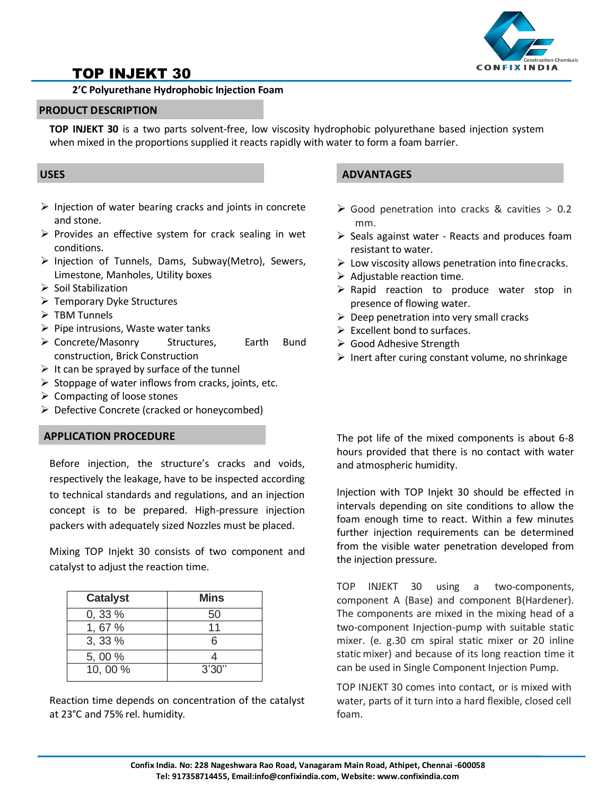

# TOP INJEKT 30

## **2'C Polyurethane Hydrophobic Injection Foam**

### **PRODUCT DESCRIPTION**

**TOP INJEKT 30** is a two parts solvent-free, low viscosity hydrophobic polyurethane based injection system when mixed in the proportions supplied it reacts rapidly with water to form a foam barrier.

- $\triangleright$  Injection of water bearing cracks and joints in concrete and stone.
- $\triangleright$  Provides an effective system for crack sealing in wet conditions.
- $\triangleright$  Injection of Tunnels, Dams, Subway(Metro), Sewers, Limestone, Manholes, Utility boxes
- $\triangleright$  Soil Stabilization
- Temporary Dyke Structures
- $\triangleright$  TBM Tunnels
- $\triangleright$  Pipe intrusions, Waste water tanks
- Concrete/Masonry Structures, Earth Bund construction, Brick Construction
- $\triangleright$  It can be sprayed by surface of the tunnel
- $\triangleright$  Stoppage of water inflows from cracks, joints, etc.
- $\triangleright$  Compacting of loose stones
- $\triangleright$  Defective Concrete (cracked or honeycombed)

# **APPLICATION PROCEDURE**

Before injection, the structure's cracks and voids, respectively the leakage, have to be inspected according to technical standards and regulations, and an injection concept is to be prepared. High-pressure injection packers with adequately sized Nozzles must be placed.

Mixing TOP Injekt 30 consists of two component and catalyst to adjust the reaction time.

| <b>Catalyst</b> | <b>Mins</b> |
|-----------------|-------------|
| $0, 33 \%$      | 50          |
| 1,67%           | 11          |
| 3,33%           | ൳           |
| 5,00 %          |             |
| 10,00%          | 3'30''      |

Reaction time depends on concentration of the catalyst at 23°C and 75% rel. humidity.

# **USES ADVANTAGES**

- $\triangleright$  Good penetration into cracks & cavities  $> 0.2$ mm.
- $\triangleright$  Seals against water Reacts and produces foam resistant to water.
- $\triangleright$  Low viscosity allows penetration into fine cracks.
- $\triangleright$  Adjustable reaction time.
- $\triangleright$  Rapid reaction to produce water stop in presence of flowing water.
- $\triangleright$  Deep penetration into very small cracks
- $\triangleright$  Excellent bond to surfaces.
- Good Adhesive Strength
- $\triangleright$  Inert after curing constant volume, no shrinkage

The pot life of the mixed components is about 6-8 hours provided that there is no contact with water and atmospheric humidity.

Injection with TOP Injekt 30 should be effected in intervals depending on site conditions to allow the foam enough time to react. Within a few minutes further injection requirements can be determined from the visible water penetration developed from the injection pressure.

TOP INJEKT 30 using a two-components, component A (Base) and component B(Hardener). The components are mixed in the mixing head of a two-component Injection-pump with suitable static mixer. (e. g.30 cm spiral static mixer or 20 inline static mixer) and because of its long reaction time it can be used in Single Component Injection Pump.

TOP INJEKT 30 comes into contact, or is mixed with water, parts of it turn into a hard flexible, closed cell foam.